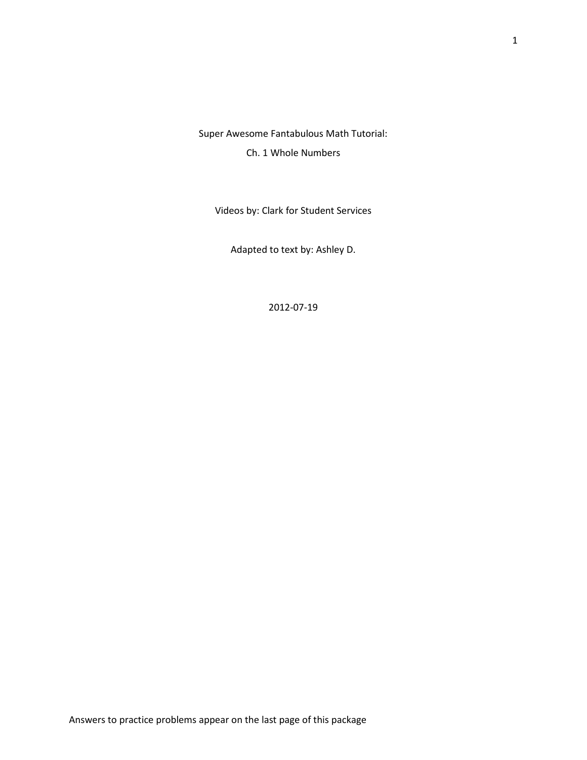Super Awesome Fantabulous Math Tutorial:

Ch. 1 Whole Numbers

Videos by: Clark for Student Services

Adapted to text by: Ashley D.

2012-07-19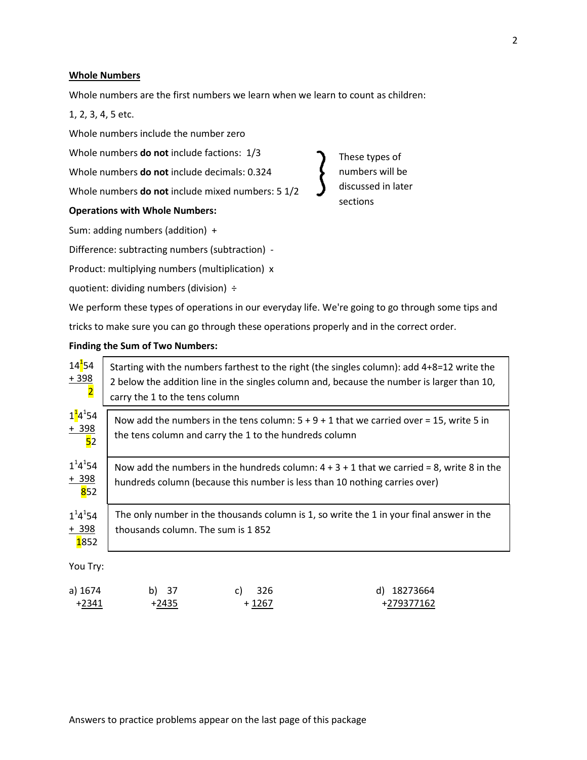#### **Whole Numbers**

Whole numbers are the first numbers we learn when we learn to count as children:

1, 2, 3, 4, 5 etc.

Whole numbers include the number zero

Whole numbers **do not** include factions: 1/3

Whole numbers **do not** include decimals: 0.324

Whole numbers **do not** include mixed numbers: 5 1/2

# **Operations with Whole Numbers:**

Sum: adding numbers (addition) +

Difference: subtracting numbers (subtraction) -

Product: multiplying numbers (multiplication) x

quotient: dividing numbers (division) ÷

These types of numbers will be discussed in later sections

We perform these types of operations in our everyday life. We're going to go through some tips and

tricks to make sure you can go through these operations properly and in the correct order.

#### **Finding the Sum of Two Numbers:**

| $14^{\frac{1}{5}}4$<br>$+398$<br>$\overline{\mathbf{2}}$ | carry the 1 to the tens column                                                                                                                                            |                                                        | Starting with the numbers farthest to the right (the singles column): add 4+8=12 write the<br>2 below the addition line in the singles column and, because the number is larger than 10, |
|----------------------------------------------------------|---------------------------------------------------------------------------------------------------------------------------------------------------------------------------|--------------------------------------------------------|------------------------------------------------------------------------------------------------------------------------------------------------------------------------------------------|
| $1^{\frac{1}{4}}4^{\frac{1}{5}}54$<br>$rac{+398}{52}$    |                                                                                                                                                                           | the tens column and carry the 1 to the hundreds column | Now add the numbers in the tens column: $5 + 9 + 1$ that we carried over = 15, write 5 in                                                                                                |
| $1^14^154$<br>$rac{+398}{852}$                           | Now add the numbers in the hundreds column: $4 + 3 + 1$ that we carried = 8, write 8 in the<br>hundreds column (because this number is less than 10 nothing carries over) |                                                        |                                                                                                                                                                                          |
| $1^14^154$<br>$+ 398$<br>1852                            | The only number in the thousands column is 1, so write the 1 in your final answer in the<br>thousands column. The sum is 1852                                             |                                                        |                                                                                                                                                                                          |
| You Try:                                                 |                                                                                                                                                                           |                                                        |                                                                                                                                                                                          |
| a) 1674<br>$+2341$                                       | b) 37<br>$+2435$                                                                                                                                                          | 326<br>C)<br>$+1267$                                   | d) 18273664<br>+279377162                                                                                                                                                                |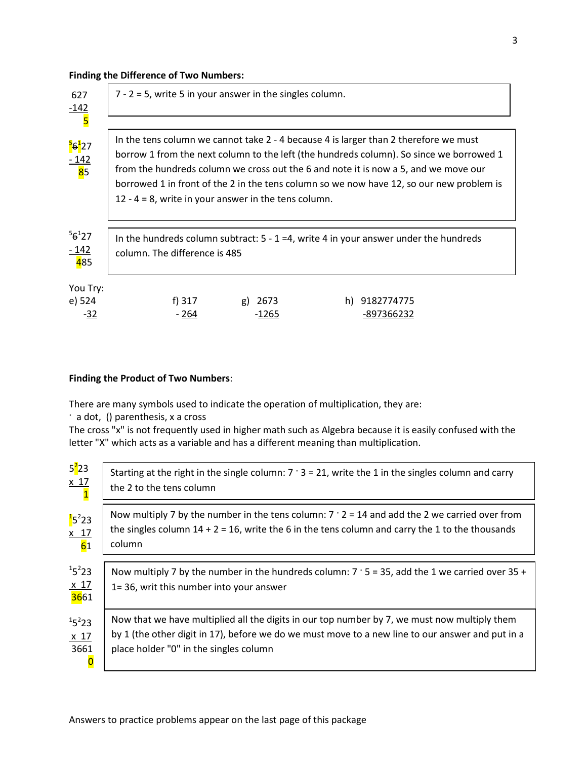### **Finding the Difference of Two Numbers:**

| 627<br>$\frac{-142}{5}$                             | $7 - 2 = 5$ , write 5 in your answer in the singles column.                                                                                  |                  |                                                                                                                                                                                                                                                                            |
|-----------------------------------------------------|----------------------------------------------------------------------------------------------------------------------------------------------|------------------|----------------------------------------------------------------------------------------------------------------------------------------------------------------------------------------------------------------------------------------------------------------------------|
| <mark>5<sub>6</sub>1</mark> 27<br>$\frac{-142}{85}$ | In the tens column we cannot take 2 - 4 because 4 is larger than 2 therefore we must<br>12 - 4 = 8, write in your answer in the tens column. |                  | borrow 1 from the next column to the left (the hundreds column). So since we borrowed 1<br>from the hundreds column we cross out the 6 and note it is now a 5, and we move our<br>borrowed 1 in front of the 2 in the tens column so we now have 12, so our new problem is |
| $56^{1}27$<br>$\frac{-142}{485}$                    | In the hundreds column subtract: $5 - 1 = 4$ , write 4 in your answer under the hundreds<br>column. The difference is 485                    |                  |                                                                                                                                                                                                                                                                            |
| You Try:<br>e) 524<br>$-32$                         | f) 317<br>$-264$                                                                                                                             | g) 2673<br>-1265 | h) 9182774775<br>-897366232                                                                                                                                                                                                                                                |

# **Finding the Product of Two Numbers**:

There are many symbols used to indicate the operation of multiplication, they are:

· a dot, () parenthesis, x a cross

The cross "x" is not frequently used in higher math such as Algebra because it is easily confused with the letter "X" which acts as a variable and has a different meaning than multiplication.

| $5^2$ 23                                                         | Starting at the right in the single column: $7 \cdot 3 = 21$ , write the 1 in the singles column and carry                                                                                                                                 |
|------------------------------------------------------------------|--------------------------------------------------------------------------------------------------------------------------------------------------------------------------------------------------------------------------------------------|
| $\frac{x}{1}$                                                    | the 2 to the tens column                                                                                                                                                                                                                   |
| $15^2$ 23<br>$\frac{x}{61}$                                      | Now multiply 7 by the number in the tens column: $7 \cdot 2 = 14$ and add the 2 we carried over from<br>the singles column $14 + 2 = 16$ , write the 6 in the tens column and carry the 1 to the thousands<br>column                       |
| $15^2$ 23                                                        | Now multiply 7 by the number in the hundreds column: $7 \cdot 5 = 35$ , add the 1 we carried over 35 +                                                                                                                                     |
| $\frac{x}{3661}$                                                 | 1=36, writ this number into your answer                                                                                                                                                                                                    |
| $15^{2}23$<br>x <sub>17</sub><br>3661<br>$\overline{\mathbf{0}}$ | Now that we have multiplied all the digits in our top number by 7, we must now multiply them<br>by 1 (the other digit in 17), before we do we must move to a new line to our answer and put in a<br>place holder "0" in the singles column |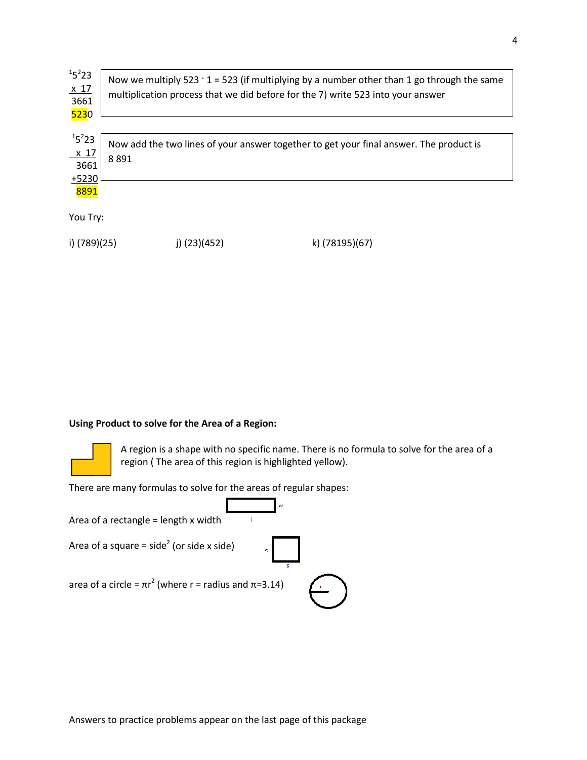| $15^{2}23$<br>$\frac{\times 17}{3661}$<br>5230 | Now we multiply 523 $\cdot$ 1 = 523 (if multiplying by a number other than 1 go through the same<br>multiplication process that we did before for the 7) write 523 into your answer |
|------------------------------------------------|-------------------------------------------------------------------------------------------------------------------------------------------------------------------------------------|
| $15^{2}23$                                     | Now add the two lines of your answer together to get your final answer. The product is                                                                                              |
| $\frac{\times 17}{3661}$                       | 8891                                                                                                                                                                                |

8891

+5230

You Try:

i) (789)(25) j) (23)(452) k) (78195)(67)

## **Using Product to solve for the Area of a Region:**



A region is a shape with no specific name. There is no formula to solve for the area of a region ( The area of this region is highlighted yellow).

There are many formulas to solve for the areas of regular shapes:

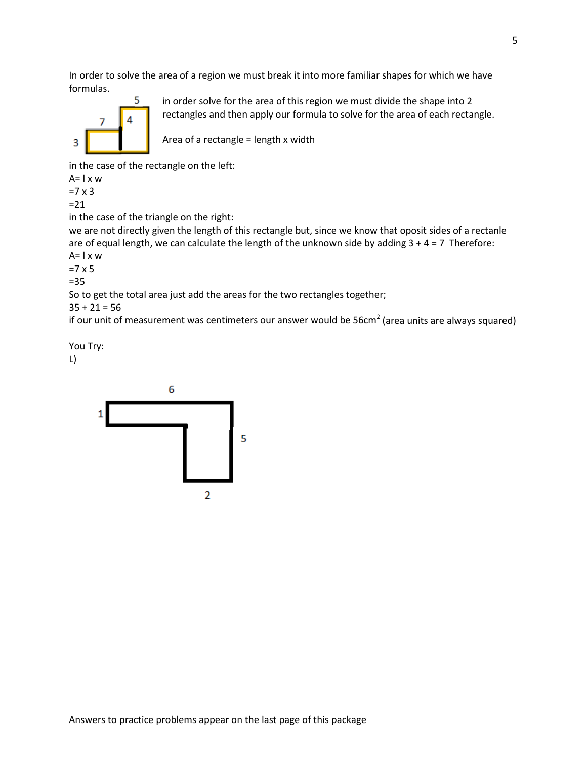In order to solve the area of a region we must break it into more familiar shapes for which we have formulas.



in order solve for the area of this region we must divide the shape into 2 rectangles and then apply our formula to solve for the area of each rectangle.

Area of a rectangle = length x width

in the case of the rectangle on the left:

 $A= I \times W$ 

 $=7 \times 3$ 

 $=21$ 

in the case of the triangle on the right:

we are not directly given the length of this rectangle but, since we know that oposit sides of a rectanle are of equal length, we can calculate the length of the unknown side by adding  $3 + 4 = 7$  Therefore:  $A= I \times W$ 

 $=7 \times 5$ 

=35

So to get the total area just add the areas for the two rectangles together;

 $35 + 21 = 56$ 

if our unit of measurement was centimeters our answer would be  $56cm<sup>2</sup>$  (area units are always squared)

You Try:

L)

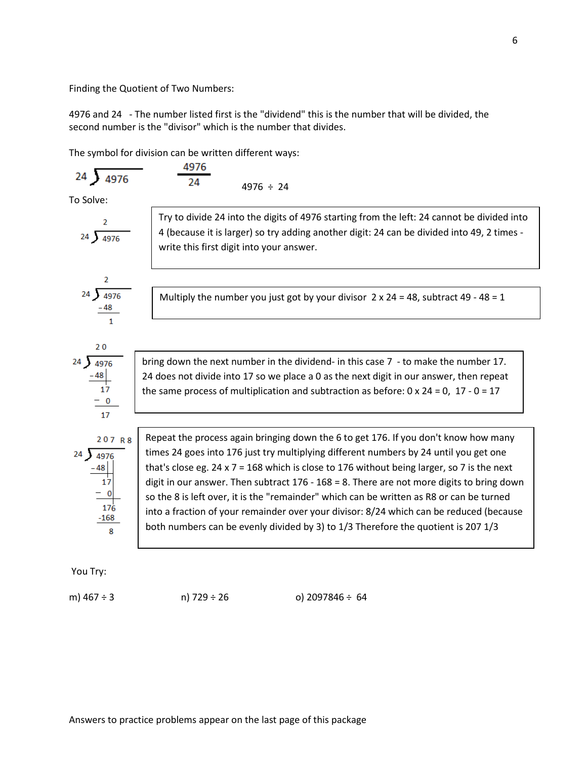Finding the Quotient of Two Numbers:

4976 and 24 - The number listed first is the "dividend" this is the number that will be divided, the second number is the "divisor" which is the number that divides.

The symbol for division can be written different ways:

4976 ÷ 24

To Solve:

| 2       | Try to divide 24 into the digits of 4976 starting from the left: 24 cannot be divided into 40.                                                                                                                                                                                                                                                                                                                                                                                                                                                                                                                                    |                                                                                                                                       |
|---------|-----------------------------------------------------------------------------------------------------------------------------------------------------------------------------------------------------------------------------------------------------------------------------------------------------------------------------------------------------------------------------------------------------------------------------------------------------------------------------------------------------------------------------------------------------------------------------------------------------------------------------------|---------------------------------------------------------------------------------------------------------------------------------------|
| 24      | $\sqrt[3]{4976}$                                                                                                                                                                                                                                                                                                                                                                                                                                                                                                                                                                                                                  | 4 (because it is larger) so try adding another digit: 24 can be divided into 49, 2 times-<br>write this first digit into your answer. |
| 24      | $\frac{48}{14976}$                                                                                                                                                                                                                                                                                                                                                                                                                                                                                                                                                                                                                | Multiply the number you just got by your divisor 2 x 24 = 48, subtract 49 - 48 = 1                                                    |
| 24      | $\frac{48}{17}$                                                                                                                                                                                                                                                                                                                                                                                                                                                                                                                                                                                                                   | bring down the next number in the dividend - in this case 7 - to make the number 17.                                                  |
| 24      | 24 does not divide into 17 so we place a 0 as the next digit in our answer, then repeat the same process of multiplication and subtraction as before: 0 x 24 = 0, 17 - 0 = 17                                                                                                                                                                                                                                                                                                                                                                                                                                                     |                                                                                                                                       |
| 207 R 8 | Repeat the process again bringing down the 6 to get 176. If you don't know how many times 24 goes into 176 just try multiplying different numbers by 24 until you get one that's close eg. 24 x 7 = 168 which is close to 176 without being larger, so 7 is the next digit in our answer. Then subtract 176 - 168 = 8. There are not more digits to bring down so the 8 is left over, it is the "remainder" which can be written as R8 or can be turned into a fraction of your remainder over your divisor: 8/24 which can be reduced (because both numbers can be evenly divided by 3) to 1/3 Therefore the quotient is 207 1/3 |                                                                                                                                       |

You Try:

8

m) 467 ÷ 3 n) 729 ÷ 26 o) 2097846 ÷ 64

6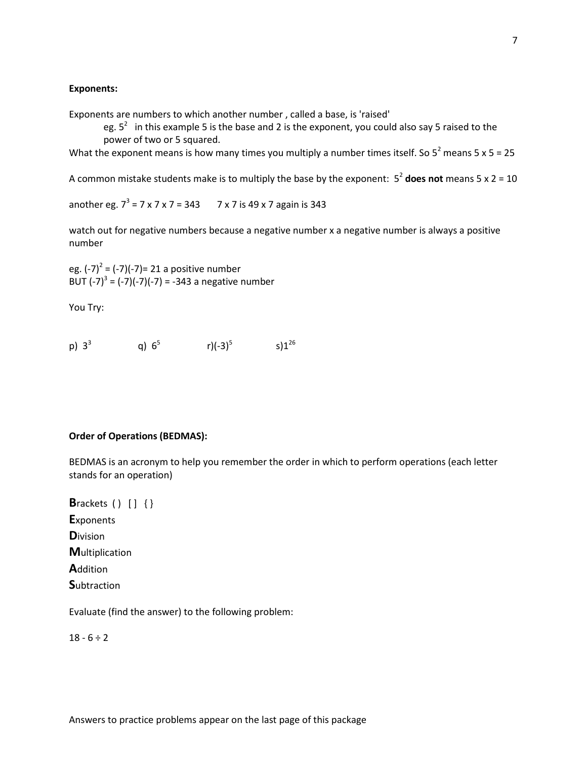#### **Exponents:**

Exponents are numbers to which another number , called a base, is 'raised'

eg.  $5^2$  in this example 5 is the base and 2 is the exponent, you could also say 5 raised to the power of two or 5 squared.

What the exponent means is how many times you multiply a number times itself. So  $5^2$  means  $5 \times 5 = 25$ 

A common mistake students make is to multiply the base by the exponent: 5<sup>2</sup> **does not** means 5 x 2 = 10

another eg.  $7^3$  = 7 x 7 x 7 = 343 7 x 7 is 49 x 7 again is 343

watch out for negative numbers because a negative number x a negative number is always a positive number

eg.  $(-7)^2 = (-7)(-7) = 21$  a positive number BUT  $(-7)^3 = (-7)(-7)(-7) = -343$  a negative number

You Try:

p)  $3^3$  q)  $6^5$  r)(-3)<sup>5</sup> s)1<sup>26</sup>

#### **Order of Operations (BEDMAS):**

BEDMAS is an acronym to help you remember the order in which to perform operations (each letter stands for an operation)

**B**rackets () [] {} **E**xponents **D**ivision **M**ultiplication **A**ddition **S**ubtraction

Evaluate (find the answer) to the following problem:

 $18 - 6 \div 2$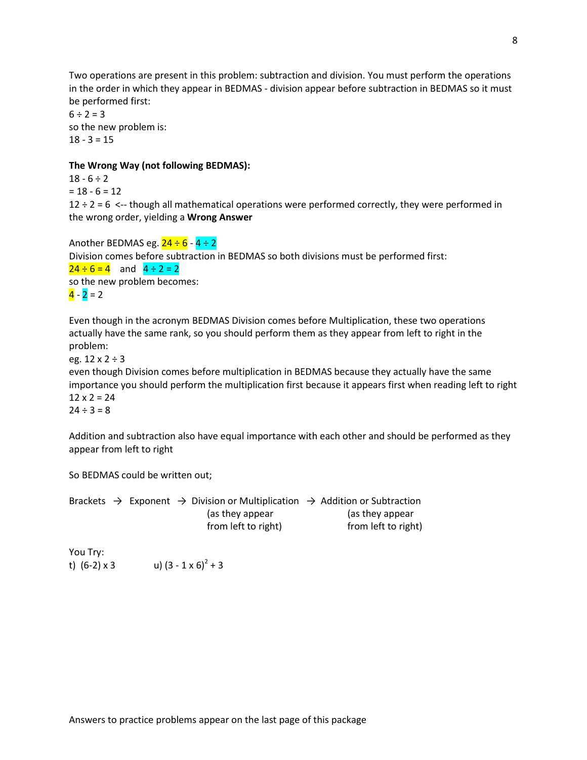Two operations are present in this problem: subtraction and division. You must perform the operations in the order in which they appear in BEDMAS - division appear before subtraction in BEDMAS so it must be performed first:

 $6 \div 2 = 3$ so the new problem is:  $18 - 3 = 15$ 

#### **The Wrong Way (not following BEDMAS):**

 $18 - 6 \div 2$  $= 18 - 6 = 12$  $12 \div 2 = 6$  <-- though all mathematical operations were performed correctly, they were performed in the wrong order, yielding a **Wrong Answer**

Another BEDMAS eg.  $24 \div 6 - 4 \div 2$ Division comes before subtraction in BEDMAS so both divisions must be performed first:  $24 \div 6 = 4$  and  $4 \div 2 = 2$ so the new problem becomes:  $\frac{4}{2} - 2 = 2$ 

Even though in the acronym BEDMAS Division comes before Multiplication, these two operations actually have the same rank, so you should perform them as they appear from left to right in the problem:

eg.  $12 \times 2 \div 3$ 

even though Division comes before multiplication in BEDMAS because they actually have the same importance you should perform the multiplication first because it appears first when reading left to right  $12 \times 2 = 24$ 

 $24 \div 3 = 8$ 

Addition and subtraction also have equal importance with each other and should be performed as they appear from left to right

So BEDMAS could be written out;

Brackets  $\rightarrow$  Exponent  $\rightarrow$  Division or Multiplication  $\rightarrow$  Addition or Subtraction (as they appear (as they appear from left to right) from left to right)

You Try: t)  $(6-2) \times 3$  u)  $(3-1 \times 6)^2 + 3$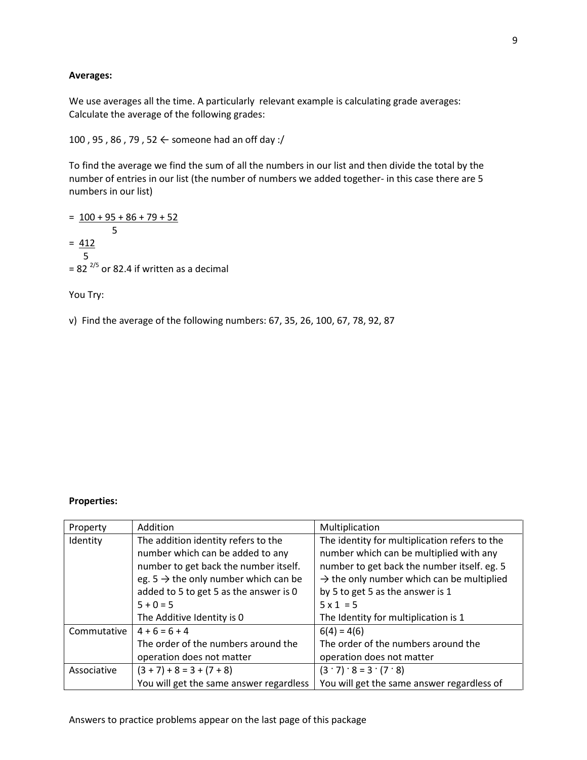### **Averages:**

We use averages all the time. A particularly relevant example is calculating grade averages: Calculate the average of the following grades:

100 , 95 , 86 , 79 , 52 ← someone had an off day :/

To find the average we find the sum of all the numbers in our list and then divide the total by the number of entries in our list (the number of numbers we added together- in this case there are 5 numbers in our list)

 $= 100 + 95 + 86 + 79 + 52$  5  $= 412$  5  $= 82^{2/5}$  or 82.4 if written as a decimal

You Try:

v) Find the average of the following numbers: 67, 35, 26, 100, 67, 78, 92, 87

# **Properties:**

| Property    | Addition                                         | Multiplication                                        |  |
|-------------|--------------------------------------------------|-------------------------------------------------------|--|
| Identity    | The addition identity refers to the              | The identity for multiplication refers to the         |  |
|             | number which can be added to any                 | number which can be multiplied with any               |  |
|             | number to get back the number itself.            | number to get back the number itself. eg. 5           |  |
|             | eg. $5 \rightarrow$ the only number which can be | $\rightarrow$ the only number which can be multiplied |  |
|             | added to 5 to get 5 as the answer is 0           | by 5 to get 5 as the answer is 1                      |  |
|             | $5 + 0 = 5$                                      | $5 \times 1 = 5$                                      |  |
|             | The Additive Identity is 0                       | The Identity for multiplication is 1                  |  |
| Commutative | $4 + 6 = 6 + 4$                                  | $6(4) = 4(6)$                                         |  |
|             | The order of the numbers around the              | The order of the numbers around the                   |  |
|             | operation does not matter                        | operation does not matter                             |  |
| Associative | $(3 + 7) + 8 = 3 + (7 + 8)$                      | $(3 \cdot 7) \cdot 8 = 3 \cdot (7 \cdot 8)$           |  |
|             | You will get the same answer regardless          | You will get the same answer regardless of            |  |